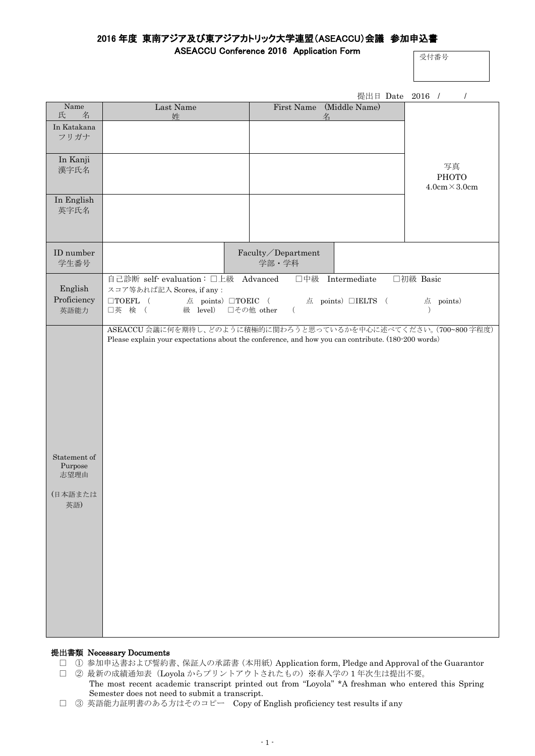# 2016 年度 東南アジア及び東アジアカトリック大学連盟(ASEACCU)会議 参加申込書

# ASEACCU Conference 2016 Application Form

受付番号

|              | 提出日 Date 2016 /                                                                                                                                                     |  |                        |   |                    | $\prime$             |
|--------------|---------------------------------------------------------------------------------------------------------------------------------------------------------------------|--|------------------------|---|--------------------|----------------------|
| Name         | Last Name                                                                                                                                                           |  | First Name             |   | (Middle Name)      |                      |
| 氏<br>名       | 姓                                                                                                                                                                   |  |                        | 名 |                    |                      |
| In Katakana  |                                                                                                                                                                     |  |                        |   |                    |                      |
| フリガナ         |                                                                                                                                                                     |  |                        |   |                    |                      |
|              |                                                                                                                                                                     |  |                        |   |                    |                      |
| In Kanji     |                                                                                                                                                                     |  |                        |   |                    | 写真                   |
| 漢字氏名         |                                                                                                                                                                     |  |                        |   |                    | <b>PHOTO</b>         |
|              |                                                                                                                                                                     |  |                        |   |                    | $4.0cm \times 3.0cm$ |
|              |                                                                                                                                                                     |  |                        |   |                    |                      |
| In English   |                                                                                                                                                                     |  |                        |   |                    |                      |
| 英字氏名         |                                                                                                                                                                     |  |                        |   |                    |                      |
|              |                                                                                                                                                                     |  |                        |   |                    |                      |
|              |                                                                                                                                                                     |  |                        |   |                    |                      |
|              |                                                                                                                                                                     |  |                        |   |                    |                      |
| ID number    |                                                                                                                                                                     |  | Faculty/Department     |   |                    |                      |
| 学生番号         |                                                                                                                                                                     |  | 学部·学科                  |   |                    |                      |
|              | 自己診断 self-evaluation: □上級                                                                                                                                           |  | Advanced<br>□中級        |   | Intermediate       | □初級 Basic            |
| English      | スコア等あれば記入 Scores, if any:                                                                                                                                           |  |                        |   |                    |                      |
| Proficiency  | $\Box$ TOEFL (<br>点 points) □TOEIC (                                                                                                                                |  |                        |   | 点 points) □IELTS ( | 点 points)            |
| 英語能力         | 級 level)<br>口英 検 (                                                                                                                                                  |  | □その他 other<br>$\left($ |   |                    | $\lambda$            |
|              |                                                                                                                                                                     |  |                        |   |                    |                      |
|              | ASEACCU 会議に何を期待し、どのように積極的に関わろうと思っているかを中心に述べてください。(700~800字程度)<br>Please explain your expectations about the conference, and how you can contribute. (180-200 words) |  |                        |   |                    |                      |
|              |                                                                                                                                                                     |  |                        |   |                    |                      |
|              |                                                                                                                                                                     |  |                        |   |                    |                      |
|              |                                                                                                                                                                     |  |                        |   |                    |                      |
|              |                                                                                                                                                                     |  |                        |   |                    |                      |
|              |                                                                                                                                                                     |  |                        |   |                    |                      |
|              |                                                                                                                                                                     |  |                        |   |                    |                      |
|              |                                                                                                                                                                     |  |                        |   |                    |                      |
|              |                                                                                                                                                                     |  |                        |   |                    |                      |
|              |                                                                                                                                                                     |  |                        |   |                    |                      |
|              |                                                                                                                                                                     |  |                        |   |                    |                      |
|              |                                                                                                                                                                     |  |                        |   |                    |                      |
| Statement of |                                                                                                                                                                     |  |                        |   |                    |                      |
| Purpose      |                                                                                                                                                                     |  |                        |   |                    |                      |
| 志望理由         |                                                                                                                                                                     |  |                        |   |                    |                      |
|              |                                                                                                                                                                     |  |                        |   |                    |                      |
| (日本語または      |                                                                                                                                                                     |  |                        |   |                    |                      |
| 英語)          |                                                                                                                                                                     |  |                        |   |                    |                      |
|              |                                                                                                                                                                     |  |                        |   |                    |                      |
|              |                                                                                                                                                                     |  |                        |   |                    |                      |
|              |                                                                                                                                                                     |  |                        |   |                    |                      |
|              |                                                                                                                                                                     |  |                        |   |                    |                      |
|              |                                                                                                                                                                     |  |                        |   |                    |                      |
|              |                                                                                                                                                                     |  |                        |   |                    |                      |
|              |                                                                                                                                                                     |  |                        |   |                    |                      |
|              |                                                                                                                                                                     |  |                        |   |                    |                      |
|              |                                                                                                                                                                     |  |                        |   |                    |                      |
|              |                                                                                                                                                                     |  |                        |   |                    |                      |
|              |                                                                                                                                                                     |  |                        |   |                    |                      |
|              |                                                                                                                                                                     |  |                        |   |                    |                      |

# 提出書類 Necessary Documents

- □ ① 参加申込書および誓約書、保証人の承諾書(本用紙)Application form, Pledge and Approval of the Guarantor
- □ ② 最新の成績通知表(Loyola からプリントアウトされたもの)※春入学の 1 年次生は提出不要。

□ ③ 英語能力証明書のある方はそのコピー Copy of English proficiency test results if any

The most recent academic transcript printed out from "Loyola" \*A freshman who entered this Spring Semester does not need to submit a transcript.